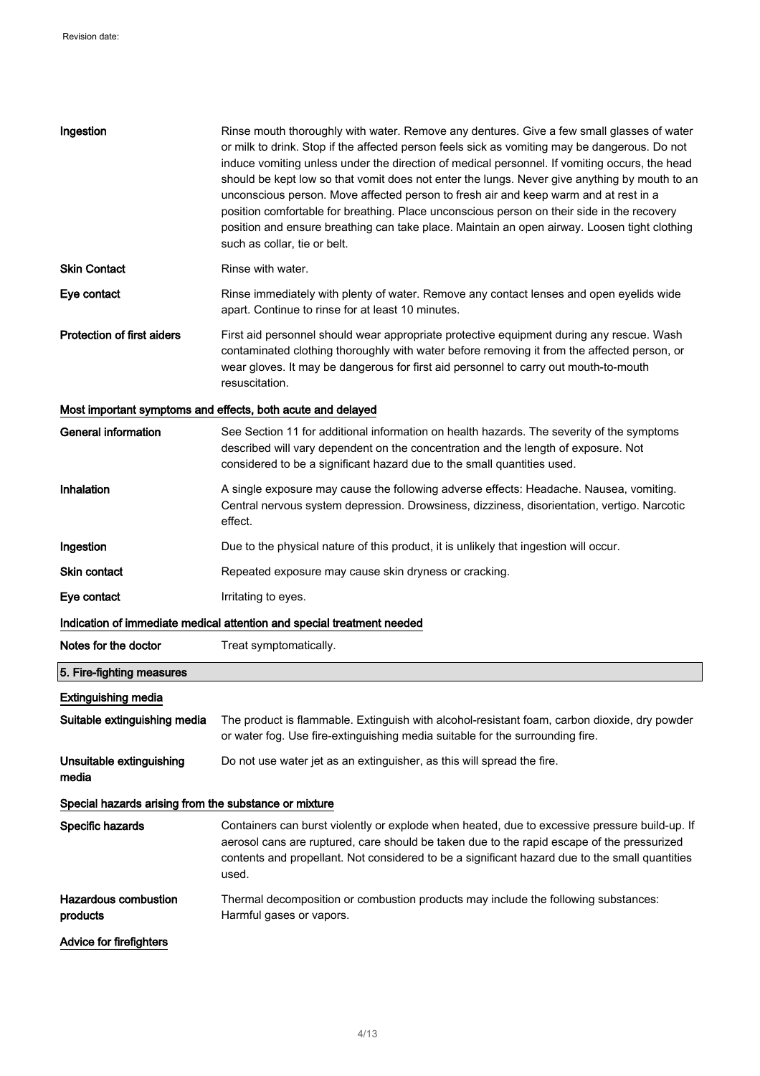| Ingestion                                             | Rinse mouth thoroughly with water. Remove any dentures. Give a few small glasses of water<br>or milk to drink. Stop if the affected person feels sick as vomiting may be dangerous. Do not<br>induce vomiting unless under the direction of medical personnel. If vomiting occurs, the head<br>should be kept low so that vomit does not enter the lungs. Never give anything by mouth to an<br>unconscious person. Move affected person to fresh air and keep warm and at rest in a<br>position comfortable for breathing. Place unconscious person on their side in the recovery<br>position and ensure breathing can take place. Maintain an open airway. Loosen tight clothing<br>such as collar, tie or belt. |  |
|-------------------------------------------------------|--------------------------------------------------------------------------------------------------------------------------------------------------------------------------------------------------------------------------------------------------------------------------------------------------------------------------------------------------------------------------------------------------------------------------------------------------------------------------------------------------------------------------------------------------------------------------------------------------------------------------------------------------------------------------------------------------------------------|--|
| <b>Skin Contact</b>                                   | Rinse with water.                                                                                                                                                                                                                                                                                                                                                                                                                                                                                                                                                                                                                                                                                                  |  |
| Eye contact                                           | Rinse immediately with plenty of water. Remove any contact lenses and open eyelids wide<br>apart. Continue to rinse for at least 10 minutes.                                                                                                                                                                                                                                                                                                                                                                                                                                                                                                                                                                       |  |
| <b>Protection of first aiders</b>                     | First aid personnel should wear appropriate protective equipment during any rescue. Wash<br>contaminated clothing thoroughly with water before removing it from the affected person, or<br>wear gloves. It may be dangerous for first aid personnel to carry out mouth-to-mouth<br>resuscitation.                                                                                                                                                                                                                                                                                                                                                                                                                  |  |
|                                                       | Most important symptoms and effects, both acute and delayed                                                                                                                                                                                                                                                                                                                                                                                                                                                                                                                                                                                                                                                        |  |
| <b>General information</b>                            | See Section 11 for additional information on health hazards. The severity of the symptoms<br>described will vary dependent on the concentration and the length of exposure. Not<br>considered to be a significant hazard due to the small quantities used.                                                                                                                                                                                                                                                                                                                                                                                                                                                         |  |
| Inhalation                                            | A single exposure may cause the following adverse effects: Headache. Nausea, vomiting.<br>Central nervous system depression. Drowsiness, dizziness, disorientation, vertigo. Narcotic<br>effect.                                                                                                                                                                                                                                                                                                                                                                                                                                                                                                                   |  |
| Ingestion                                             | Due to the physical nature of this product, it is unlikely that ingestion will occur.                                                                                                                                                                                                                                                                                                                                                                                                                                                                                                                                                                                                                              |  |
| <b>Skin contact</b>                                   | Repeated exposure may cause skin dryness or cracking.                                                                                                                                                                                                                                                                                                                                                                                                                                                                                                                                                                                                                                                              |  |
| Eye contact                                           | Irritating to eyes.                                                                                                                                                                                                                                                                                                                                                                                                                                                                                                                                                                                                                                                                                                |  |
|                                                       | Indication of immediate medical attention and special treatment needed                                                                                                                                                                                                                                                                                                                                                                                                                                                                                                                                                                                                                                             |  |
| Notes for the doctor                                  | Treat symptomatically.                                                                                                                                                                                                                                                                                                                                                                                                                                                                                                                                                                                                                                                                                             |  |
| 5. Fire-fighting measures                             |                                                                                                                                                                                                                                                                                                                                                                                                                                                                                                                                                                                                                                                                                                                    |  |
| <b>Extinguishing media</b>                            |                                                                                                                                                                                                                                                                                                                                                                                                                                                                                                                                                                                                                                                                                                                    |  |
| Suitable extinguishing media                          | The product is flammable. Extinguish with alcohol-resistant foam, carbon dioxide, dry powder<br>or water fog. Use fire-extinguishing media suitable for the surrounding fire.                                                                                                                                                                                                                                                                                                                                                                                                                                                                                                                                      |  |
| Unsuitable extinguishing<br>media                     | Do not use water jet as an extinguisher, as this will spread the fire.                                                                                                                                                                                                                                                                                                                                                                                                                                                                                                                                                                                                                                             |  |
| Special hazards arising from the substance or mixture |                                                                                                                                                                                                                                                                                                                                                                                                                                                                                                                                                                                                                                                                                                                    |  |
| Specific hazards                                      | Containers can burst violently or explode when heated, due to excessive pressure build-up. If<br>aerosol cans are ruptured, care should be taken due to the rapid escape of the pressurized<br>contents and propellant. Not considered to be a significant hazard due to the small quantities<br>used.                                                                                                                                                                                                                                                                                                                                                                                                             |  |
| <b>Hazardous combustion</b><br>products               | Thermal decomposition or combustion products may include the following substances:<br>Harmful gases or vapors.                                                                                                                                                                                                                                                                                                                                                                                                                                                                                                                                                                                                     |  |
| Advice for firefighters                               |                                                                                                                                                                                                                                                                                                                                                                                                                                                                                                                                                                                                                                                                                                                    |  |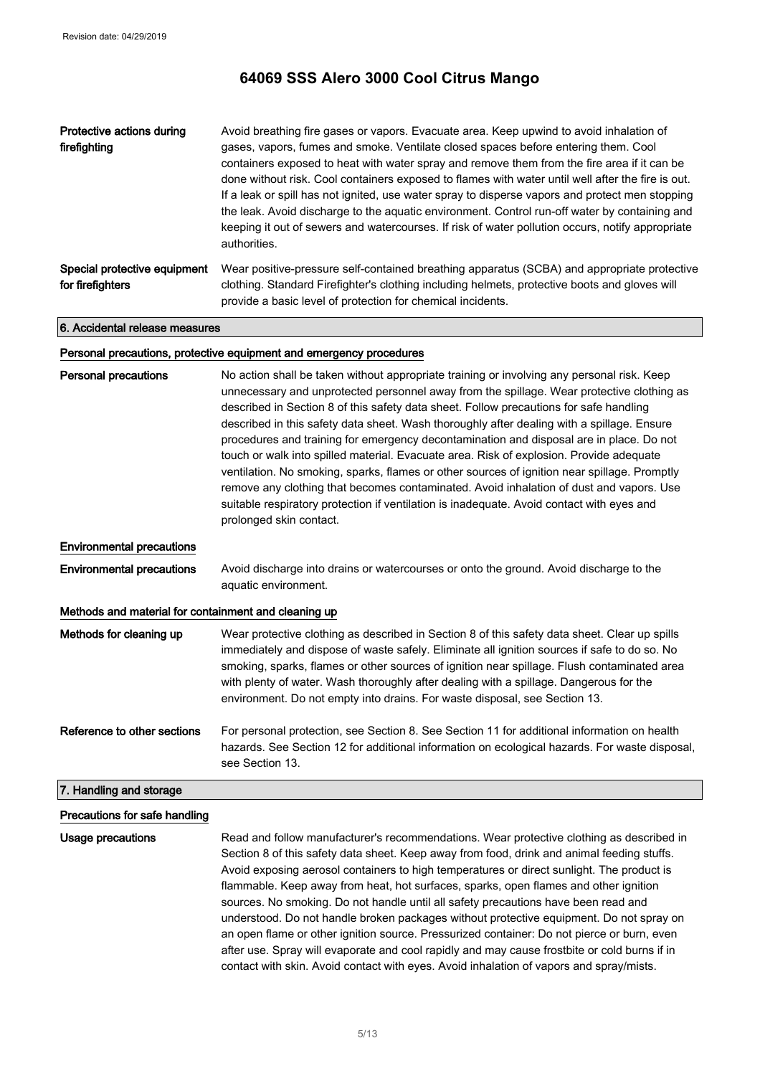| Protective actions during<br>firefighting        | Avoid breathing fire gases or vapors. Evacuate area. Keep upwind to avoid inhalation of<br>gases, vapors, fumes and smoke. Ventilate closed spaces before entering them. Cool<br>containers exposed to heat with water spray and remove them from the fire area if it can be<br>done without risk. Cool containers exposed to flames with water until well after the fire is out.<br>If a leak or spill has not ignited, use water spray to disperse vapors and protect men stopping<br>the leak. Avoid discharge to the aquatic environment. Control run-off water by containing and<br>keeping it out of sewers and watercourses. If risk of water pollution occurs, notify appropriate<br>authorities. |
|--------------------------------------------------|-----------------------------------------------------------------------------------------------------------------------------------------------------------------------------------------------------------------------------------------------------------------------------------------------------------------------------------------------------------------------------------------------------------------------------------------------------------------------------------------------------------------------------------------------------------------------------------------------------------------------------------------------------------------------------------------------------------|
| Special protective equipment<br>for firefighters | Wear positive-pressure self-contained breathing apparatus (SCBA) and appropriate protective<br>clothing. Standard Firefighter's clothing including helmets, protective boots and gloves will<br>provide a basic level of protection for chemical incidents.                                                                                                                                                                                                                                                                                                                                                                                                                                               |

6. Accidental release measures

#### Personal precautions, protective equipment and emergency procedures

| <b>Personal precautions</b>                          | No action shall be taken without appropriate training or involving any personal risk. Keep<br>unnecessary and unprotected personnel away from the spillage. Wear protective clothing as<br>described in Section 8 of this safety data sheet. Follow precautions for safe handling<br>described in this safety data sheet. Wash thoroughly after dealing with a spillage. Ensure<br>procedures and training for emergency decontamination and disposal are in place. Do not<br>touch or walk into spilled material. Evacuate area. Risk of explosion. Provide adequate<br>ventilation. No smoking, sparks, flames or other sources of ignition near spillage. Promptly<br>remove any clothing that becomes contaminated. Avoid inhalation of dust and vapors. Use<br>suitable respiratory protection if ventilation is inadequate. Avoid contact with eyes and<br>prolonged skin contact. |
|------------------------------------------------------|------------------------------------------------------------------------------------------------------------------------------------------------------------------------------------------------------------------------------------------------------------------------------------------------------------------------------------------------------------------------------------------------------------------------------------------------------------------------------------------------------------------------------------------------------------------------------------------------------------------------------------------------------------------------------------------------------------------------------------------------------------------------------------------------------------------------------------------------------------------------------------------|
| <b>Environmental precautions</b>                     |                                                                                                                                                                                                                                                                                                                                                                                                                                                                                                                                                                                                                                                                                                                                                                                                                                                                                          |
| <b>Environmental precautions</b>                     | Avoid discharge into drains or watercourses or onto the ground. Avoid discharge to the<br>aquatic environment.                                                                                                                                                                                                                                                                                                                                                                                                                                                                                                                                                                                                                                                                                                                                                                           |
| Methods and material for containment and cleaning up |                                                                                                                                                                                                                                                                                                                                                                                                                                                                                                                                                                                                                                                                                                                                                                                                                                                                                          |
| Methods for cleaning up                              | Wear protective clothing as described in Section 8 of this safety data sheet. Clear up spills<br>immediately and dispose of waste safely. Eliminate all ignition sources if safe to do so. No<br>smoking, sparks, flames or other sources of ignition near spillage. Flush contaminated area<br>with plenty of water. Wash thoroughly after dealing with a spillage. Dangerous for the<br>environment. Do not empty into drains. For waste disposal, see Section 13.                                                                                                                                                                                                                                                                                                                                                                                                                     |
| Reference to other sections                          | For personal protection, see Section 8. See Section 11 for additional information on health<br>hazards. See Section 12 for additional information on ecological hazards. For waste disposal,<br>see Section 13.                                                                                                                                                                                                                                                                                                                                                                                                                                                                                                                                                                                                                                                                          |
| 7. Handling and storage                              |                                                                                                                                                                                                                                                                                                                                                                                                                                                                                                                                                                                                                                                                                                                                                                                                                                                                                          |
| Precautions for safe handling                        |                                                                                                                                                                                                                                                                                                                                                                                                                                                                                                                                                                                                                                                                                                                                                                                                                                                                                          |
| <b>Usage precautions</b>                             | Read and follow manufacturer's recommendations. Wear protective clothing as described in                                                                                                                                                                                                                                                                                                                                                                                                                                                                                                                                                                                                                                                                                                                                                                                                 |

Section 8 of this safety data sheet. Keep away from food, drink and animal feeding stuffs. Avoid exposing aerosol containers to high temperatures or direct sunlight. The product is flammable. Keep away from heat, hot surfaces, sparks, open flames and other ignition sources. No smoking. Do not handle until all safety precautions have been read and understood. Do not handle broken packages without protective equipment. Do not spray on an open flame or other ignition source. Pressurized container: Do not pierce or burn, even after use. Spray will evaporate and cool rapidly and may cause frostbite or cold burns if in contact with skin. Avoid contact with eyes. Avoid inhalation of vapors and spray/mists.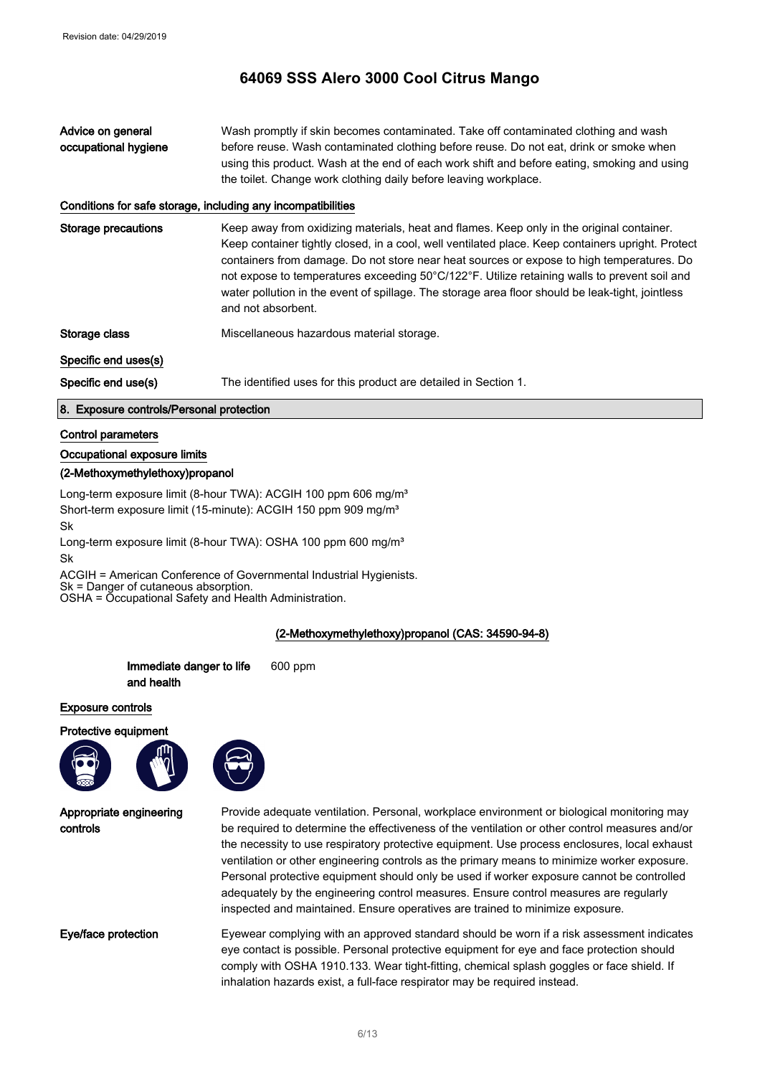| Advice on general    | Wash promptly if skin becomes contaminated. Take off contaminated clothing and wash         |
|----------------------|---------------------------------------------------------------------------------------------|
| occupational hygiene | before reuse. Wash contaminated clothing before reuse. Do not eat, drink or smoke when      |
|                      | using this product. Wash at the end of each work shift and before eating, smoking and using |
|                      | the toilet. Change work clothing daily before leaving workplace.                            |

#### Conditions for safe storage, including any incompatibilities

Storage precautions **Keep away from oxidizing materials, heat and flames. Keep only in the original container.** Keep container tightly closed, in a cool, well ventilated place. Keep containers upright. Protect containers from damage. Do not store near heat sources or expose to high temperatures. Do not expose to temperatures exceeding 50°C/122°F. Utilize retaining walls to prevent soil and water pollution in the event of spillage. The storage area floor should be leak-tight, jointless and not absorbent.

Storage class The Miscellaneous hazardous material storage.

#### Specific end uses(s)

Specific end use(s) The identified uses for this product are detailed in Section 1.

#### 8. Exposure controls/Personal protection

#### Control parameters

#### Occupational exposure limits

#### (2-Methoxymethylethoxy)propanol

Long-term exposure limit (8-hour TWA): ACGIH 100 ppm 606 mg/m<sup>3</sup> Short-term exposure limit (15-minute): ACGIH 150 ppm 909 mg/m<sup>3</sup> Sk

Long-term exposure limit (8-hour TWA): OSHA 100 ppm 600 mg/m<sup>3</sup> Sk

ACGIH = American Conference of Governmental Industrial Hygienists.

Sk = Danger of cutaneous absorption.

OSHA = Occupational Safety and Health Administration.

#### (2-Methoxymethylethoxy)propanol (CAS: 34590-94-8)



Provide adequate ventilation. Personal, workplace environment or biological monitoring may be required to determine the effectiveness of the ventilation or other control measures and/or the necessity to use respiratory protective equipment. Use process enclosures, local exhaust ventilation or other engineering controls as the primary means to minimize worker exposure. Personal protective equipment should only be used if worker exposure cannot be controlled adequately by the engineering control measures. Ensure control measures are regularly inspected and maintained. Ensure operatives are trained to minimize exposure.

Eye/face protection Eyewear complying with an approved standard should be worn if a risk assessment indicates eye contact is possible. Personal protective equipment for eye and face protection should comply with OSHA 1910.133. Wear tight-fitting, chemical splash goggles or face shield. If inhalation hazards exist, a full-face respirator may be required instead.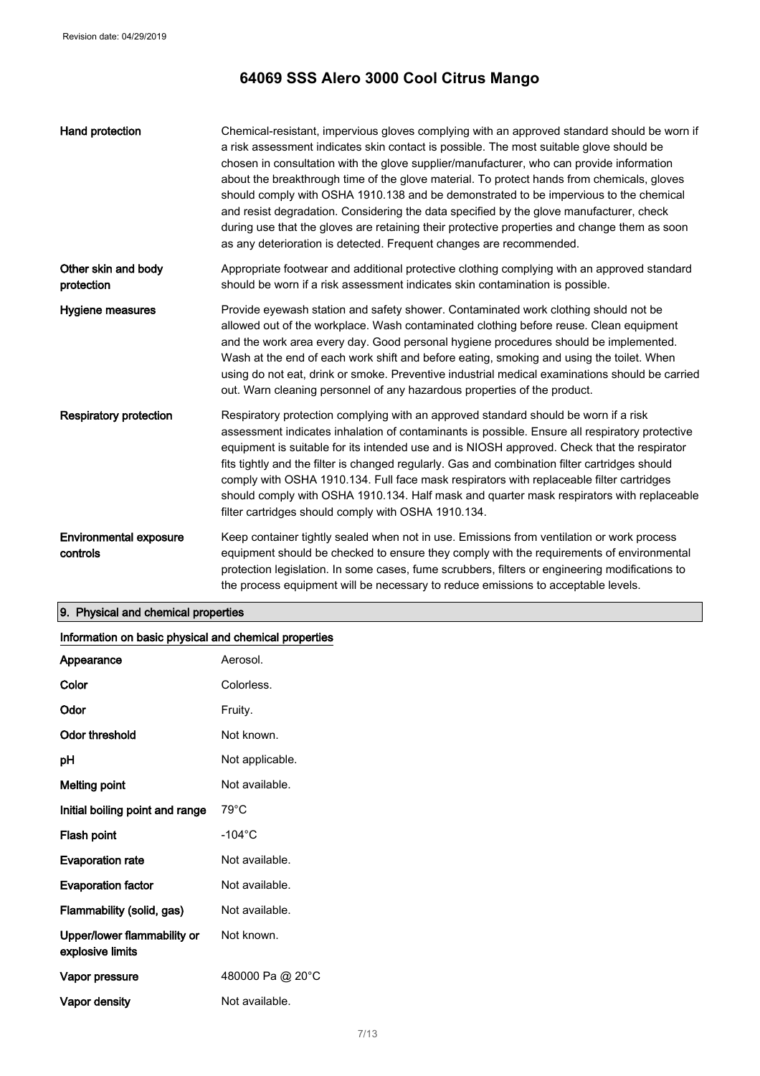| Hand protection                           | Chemical-resistant, impervious gloves complying with an approved standard should be worn if<br>a risk assessment indicates skin contact is possible. The most suitable glove should be<br>chosen in consultation with the glove supplier/manufacturer, who can provide information<br>about the breakthrough time of the glove material. To protect hands from chemicals, gloves<br>should comply with OSHA 1910.138 and be demonstrated to be impervious to the chemical<br>and resist degradation. Considering the data specified by the glove manufacturer, check<br>during use that the gloves are retaining their protective properties and change them as soon<br>as any deterioration is detected. Frequent changes are recommended. |
|-------------------------------------------|---------------------------------------------------------------------------------------------------------------------------------------------------------------------------------------------------------------------------------------------------------------------------------------------------------------------------------------------------------------------------------------------------------------------------------------------------------------------------------------------------------------------------------------------------------------------------------------------------------------------------------------------------------------------------------------------------------------------------------------------|
| Other skin and body<br>protection         | Appropriate footwear and additional protective clothing complying with an approved standard<br>should be worn if a risk assessment indicates skin contamination is possible.                                                                                                                                                                                                                                                                                                                                                                                                                                                                                                                                                                |
| Hygiene measures                          | Provide eyewash station and safety shower. Contaminated work clothing should not be<br>allowed out of the workplace. Wash contaminated clothing before reuse. Clean equipment<br>and the work area every day. Good personal hygiene procedures should be implemented.<br>Wash at the end of each work shift and before eating, smoking and using the toilet. When<br>using do not eat, drink or smoke. Preventive industrial medical examinations should be carried<br>out. Warn cleaning personnel of any hazardous properties of the product.                                                                                                                                                                                             |
| <b>Respiratory protection</b>             | Respiratory protection complying with an approved standard should be worn if a risk<br>assessment indicates inhalation of contaminants is possible. Ensure all respiratory protective<br>equipment is suitable for its intended use and is NIOSH approved. Check that the respirator<br>fits tightly and the filter is changed regularly. Gas and combination filter cartridges should<br>comply with OSHA 1910.134. Full face mask respirators with replaceable filter cartridges<br>should comply with OSHA 1910.134. Half mask and quarter mask respirators with replaceable<br>filter cartridges should comply with OSHA 1910.134.                                                                                                      |
| <b>Environmental exposure</b><br>controls | Keep container tightly sealed when not in use. Emissions from ventilation or work process<br>equipment should be checked to ensure they comply with the requirements of environmental<br>protection legislation. In some cases, fume scrubbers, filters or engineering modifications to<br>the process equipment will be necessary to reduce emissions to acceptable levels.                                                                                                                                                                                                                                                                                                                                                                |

## 9. Physical and chemical properties

| Information on basic physical and chemical properties |                  |
|-------------------------------------------------------|------------------|
| Appearance                                            | Aerosol.         |
| Color                                                 | Colorless.       |
| Odor                                                  | Fruity.          |
| <b>Odor threshold</b>                                 | Not known.       |
| pH                                                    | Not applicable.  |
| <b>Melting point</b>                                  | Not available.   |
| Initial boiling point and range                       | $79^{\circ}$ C   |
| Flash point                                           | $-104^{\circ}$ C |
| <b>Evaporation rate</b>                               | Not available.   |
| <b>Evaporation factor</b>                             | Not available.   |
| Flammability (solid, gas)                             | Not available.   |
| Upper/lower flammability or<br>explosive limits       | Not known.       |
| Vapor pressure                                        | 480000 Pa @ 20°C |
| Vapor density                                         | Not available.   |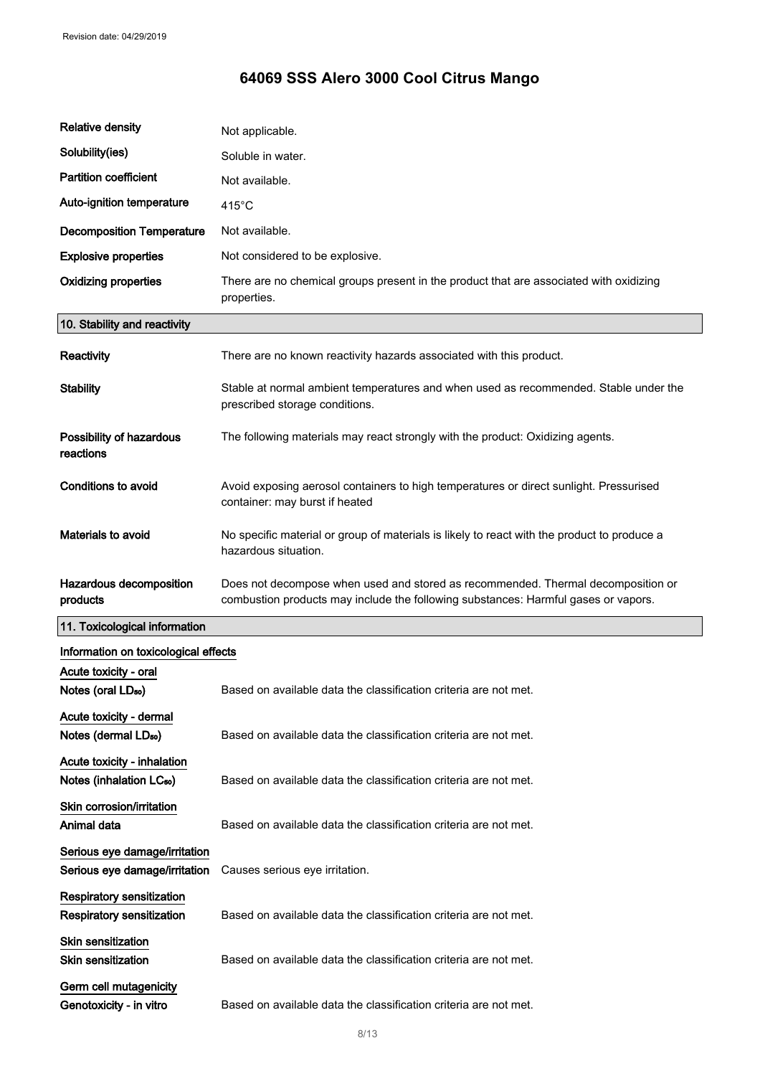| <b>Relative density</b>                                             | Not applicable.                                                                                                                                                        |
|---------------------------------------------------------------------|------------------------------------------------------------------------------------------------------------------------------------------------------------------------|
| Solubility(ies)                                                     | Soluble in water.                                                                                                                                                      |
| <b>Partition coefficient</b>                                        | Not available.                                                                                                                                                         |
| Auto-ignition temperature                                           | $415^{\circ}$ C                                                                                                                                                        |
| <b>Decomposition Temperature</b>                                    | Not available.                                                                                                                                                         |
| <b>Explosive properties</b>                                         | Not considered to be explosive.                                                                                                                                        |
| <b>Oxidizing properties</b>                                         | There are no chemical groups present in the product that are associated with oxidizing<br>properties.                                                                  |
| 10. Stability and reactivity                                        |                                                                                                                                                                        |
| Reactivity                                                          | There are no known reactivity hazards associated with this product.                                                                                                    |
| <b>Stability</b>                                                    | Stable at normal ambient temperatures and when used as recommended. Stable under the<br>prescribed storage conditions.                                                 |
| Possibility of hazardous<br>reactions                               | The following materials may react strongly with the product: Oxidizing agents.                                                                                         |
| <b>Conditions to avoid</b>                                          | Avoid exposing aerosol containers to high temperatures or direct sunlight. Pressurised<br>container: may burst if heated                                               |
| <b>Materials to avoid</b>                                           | No specific material or group of materials is likely to react with the product to produce a<br>hazardous situation.                                                    |
| Hazardous decomposition<br>products                                 | Does not decompose when used and stored as recommended. Thermal decomposition or<br>combustion products may include the following substances: Harmful gases or vapors. |
| 11. Toxicological information                                       |                                                                                                                                                                        |
| Information on toxicological effects                                |                                                                                                                                                                        |
| Acute toxicity - oral<br>Notes (oral LD <sub>50</sub> )             | Based on available data the classification criteria are not met.                                                                                                       |
| Acute toxicity - dermal<br>Notes (dermal LD <sub>50</sub> )         |                                                                                                                                                                        |
|                                                                     | Based on available data the classification criteria are not met.                                                                                                       |
| Acute toxicity - inhalation<br>Notes (inhalation LC <sub>50</sub> ) | Based on available data the classification criteria are not met.                                                                                                       |
| Skin corrosion/irritation<br>Animal data                            | Based on available data the classification criteria are not met.                                                                                                       |
| Serious eye damage/irritation<br>Serious eye damage/irritation      | Causes serious eye irritation.                                                                                                                                         |
| Respiratory sensitization<br>Respiratory sensitization              | Based on available data the classification criteria are not met.                                                                                                       |
| Skin sensitization<br><b>Skin sensitization</b>                     | Based on available data the classification criteria are not met.                                                                                                       |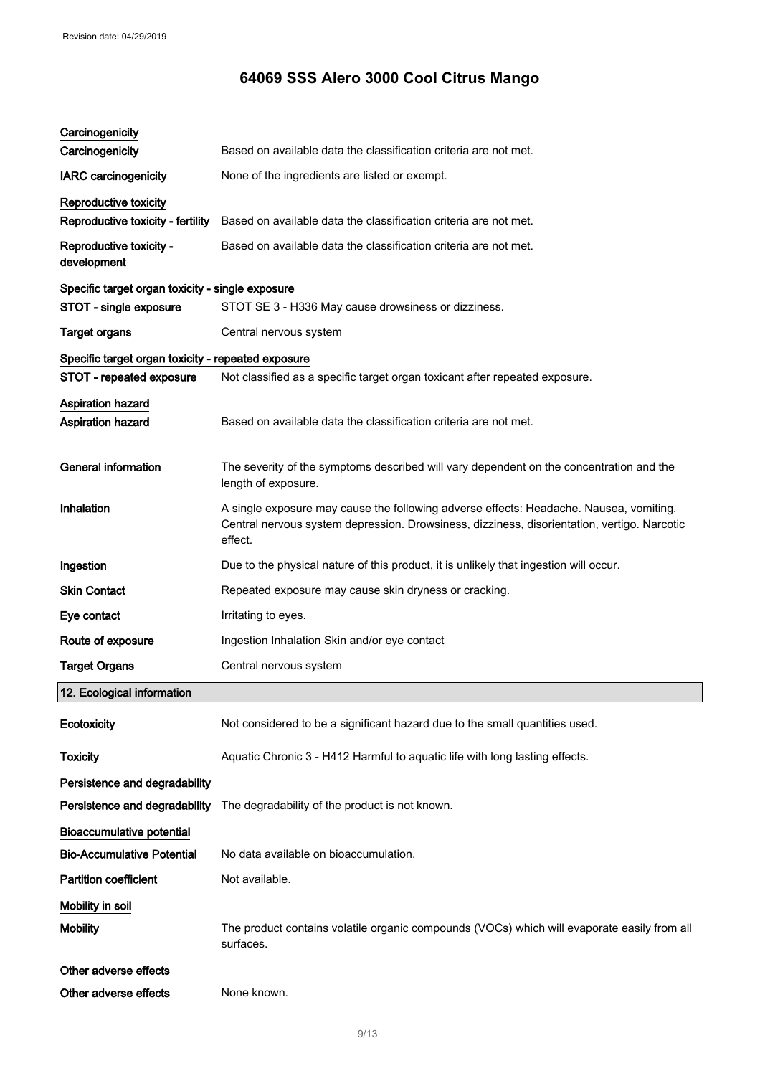| Carcinogenicity                                      |                                                                                                                                                                                                  |
|------------------------------------------------------|--------------------------------------------------------------------------------------------------------------------------------------------------------------------------------------------------|
| Carcinogenicity                                      | Based on available data the classification criteria are not met.                                                                                                                                 |
| <b>IARC</b> carcinogenicity                          | None of the ingredients are listed or exempt.                                                                                                                                                    |
| Reproductive toxicity                                |                                                                                                                                                                                                  |
| Reproductive toxicity - fertility                    | Based on available data the classification criteria are not met.                                                                                                                                 |
| Reproductive toxicity -<br>development               | Based on available data the classification criteria are not met.                                                                                                                                 |
| Specific target organ toxicity - single exposure     |                                                                                                                                                                                                  |
| STOT - single exposure                               | STOT SE 3 - H336 May cause drowsiness or dizziness.                                                                                                                                              |
| <b>Target organs</b>                                 | Central nervous system                                                                                                                                                                           |
| Specific target organ toxicity - repeated exposure   |                                                                                                                                                                                                  |
| STOT - repeated exposure                             | Not classified as a specific target organ toxicant after repeated exposure.                                                                                                                      |
| <b>Aspiration hazard</b><br><b>Aspiration hazard</b> | Based on available data the classification criteria are not met.                                                                                                                                 |
| <b>General information</b>                           | The severity of the symptoms described will vary dependent on the concentration and the<br>length of exposure.                                                                                   |
| Inhalation                                           | A single exposure may cause the following adverse effects: Headache. Nausea, vomiting.<br>Central nervous system depression. Drowsiness, dizziness, disorientation, vertigo. Narcotic<br>effect. |
| Ingestion                                            | Due to the physical nature of this product, it is unlikely that ingestion will occur.                                                                                                            |
| <b>Skin Contact</b>                                  | Repeated exposure may cause skin dryness or cracking.                                                                                                                                            |
| Eye contact                                          | Irritating to eyes.                                                                                                                                                                              |
| Route of exposure                                    | Ingestion Inhalation Skin and/or eye contact                                                                                                                                                     |
| <b>Target Organs</b>                                 | Central nervous system                                                                                                                                                                           |
| 12. Ecological information                           |                                                                                                                                                                                                  |
| Ecotoxicity                                          | Not considered to be a significant hazard due to the small quantities used.                                                                                                                      |
| <b>Toxicity</b>                                      | Aquatic Chronic 3 - H412 Harmful to aquatic life with long lasting effects.                                                                                                                      |
| Persistence and degradability                        |                                                                                                                                                                                                  |
| Persistence and degradability                        | The degradability of the product is not known.                                                                                                                                                   |
| <b>Bioaccumulative potential</b>                     |                                                                                                                                                                                                  |
| <b>Bio-Accumulative Potential</b>                    | No data available on bioaccumulation.                                                                                                                                                            |
| <b>Partition coefficient</b>                         | Not available.                                                                                                                                                                                   |
| Mobility in soil                                     |                                                                                                                                                                                                  |
| <b>Mobility</b>                                      | The product contains volatile organic compounds (VOCs) which will evaporate easily from all<br>surfaces.                                                                                         |
| Other adverse effects                                |                                                                                                                                                                                                  |
| Other adverse effects                                | None known.                                                                                                                                                                                      |
|                                                      |                                                                                                                                                                                                  |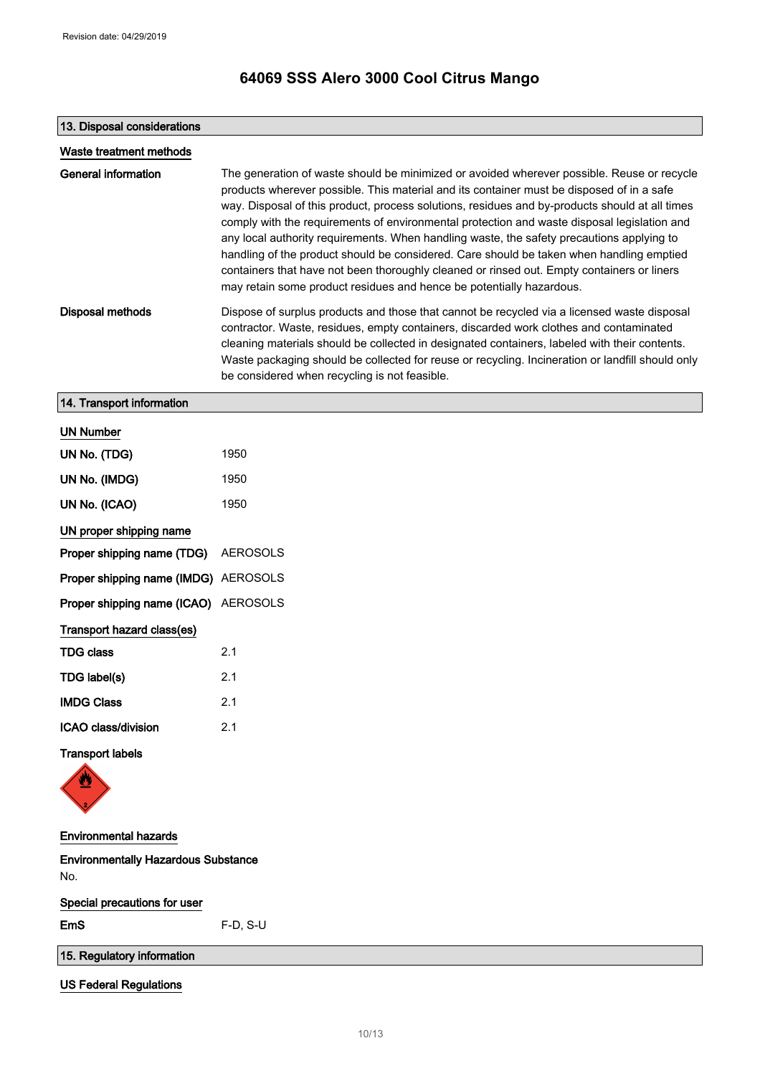## 13. Disposal considerations

| Waste treatment methods                           |                                                                                                                                                                                                                                                                                                                                                                                                                                                                                                                                                                                                                                                                                                                                                         |
|---------------------------------------------------|---------------------------------------------------------------------------------------------------------------------------------------------------------------------------------------------------------------------------------------------------------------------------------------------------------------------------------------------------------------------------------------------------------------------------------------------------------------------------------------------------------------------------------------------------------------------------------------------------------------------------------------------------------------------------------------------------------------------------------------------------------|
| <b>General information</b>                        | The generation of waste should be minimized or avoided wherever possible. Reuse or recycle<br>products wherever possible. This material and its container must be disposed of in a safe<br>way. Disposal of this product, process solutions, residues and by-products should at all times<br>comply with the requirements of environmental protection and waste disposal legislation and<br>any local authority requirements. When handling waste, the safety precautions applying to<br>handling of the product should be considered. Care should be taken when handling emptied<br>containers that have not been thoroughly cleaned or rinsed out. Empty containers or liners<br>may retain some product residues and hence be potentially hazardous. |
| <b>Disposal methods</b>                           | Dispose of surplus products and those that cannot be recycled via a licensed waste disposal<br>contractor. Waste, residues, empty containers, discarded work clothes and contaminated<br>cleaning materials should be collected in designated containers, labeled with their contents.<br>Waste packaging should be collected for reuse or recycling. Incineration or landfill should only<br>be considered when recycling is not feasible.                                                                                                                                                                                                                                                                                                             |
| 14. Transport information                         |                                                                                                                                                                                                                                                                                                                                                                                                                                                                                                                                                                                                                                                                                                                                                         |
| <b>UN Number</b>                                  |                                                                                                                                                                                                                                                                                                                                                                                                                                                                                                                                                                                                                                                                                                                                                         |
| UN No. (TDG)                                      | 1950                                                                                                                                                                                                                                                                                                                                                                                                                                                                                                                                                                                                                                                                                                                                                    |
| UN No. (IMDG)                                     | 1950                                                                                                                                                                                                                                                                                                                                                                                                                                                                                                                                                                                                                                                                                                                                                    |
| UN No. (ICAO)                                     | 1950                                                                                                                                                                                                                                                                                                                                                                                                                                                                                                                                                                                                                                                                                                                                                    |
| UN proper shipping name                           |                                                                                                                                                                                                                                                                                                                                                                                                                                                                                                                                                                                                                                                                                                                                                         |
| Proper shipping name (TDG)                        | <b>AEROSOLS</b>                                                                                                                                                                                                                                                                                                                                                                                                                                                                                                                                                                                                                                                                                                                                         |
| Proper shipping name (IMDG) AEROSOLS              |                                                                                                                                                                                                                                                                                                                                                                                                                                                                                                                                                                                                                                                                                                                                                         |
| Proper shipping name (ICAO)                       | AEROSOLS                                                                                                                                                                                                                                                                                                                                                                                                                                                                                                                                                                                                                                                                                                                                                |
| Transport hazard class(es)                        |                                                                                                                                                                                                                                                                                                                                                                                                                                                                                                                                                                                                                                                                                                                                                         |
| <b>TDG class</b>                                  | 2.1                                                                                                                                                                                                                                                                                                                                                                                                                                                                                                                                                                                                                                                                                                                                                     |
| TDG label(s)                                      | 2.1                                                                                                                                                                                                                                                                                                                                                                                                                                                                                                                                                                                                                                                                                                                                                     |
| <b>IMDG Class</b>                                 | 2.1                                                                                                                                                                                                                                                                                                                                                                                                                                                                                                                                                                                                                                                                                                                                                     |
| ICAO class/division                               | 2.1                                                                                                                                                                                                                                                                                                                                                                                                                                                                                                                                                                                                                                                                                                                                                     |
| <b>Transport labels</b>                           |                                                                                                                                                                                                                                                                                                                                                                                                                                                                                                                                                                                                                                                                                                                                                         |
| <b>Environmental hazards</b>                      |                                                                                                                                                                                                                                                                                                                                                                                                                                                                                                                                                                                                                                                                                                                                                         |
| <b>Environmentally Hazardous Substance</b><br>No. |                                                                                                                                                                                                                                                                                                                                                                                                                                                                                                                                                                                                                                                                                                                                                         |
| Special precautions for user                      |                                                                                                                                                                                                                                                                                                                                                                                                                                                                                                                                                                                                                                                                                                                                                         |
| EmS                                               | $F-D, S-U$                                                                                                                                                                                                                                                                                                                                                                                                                                                                                                                                                                                                                                                                                                                                              |

15. Regulatory information

US Federal Regulations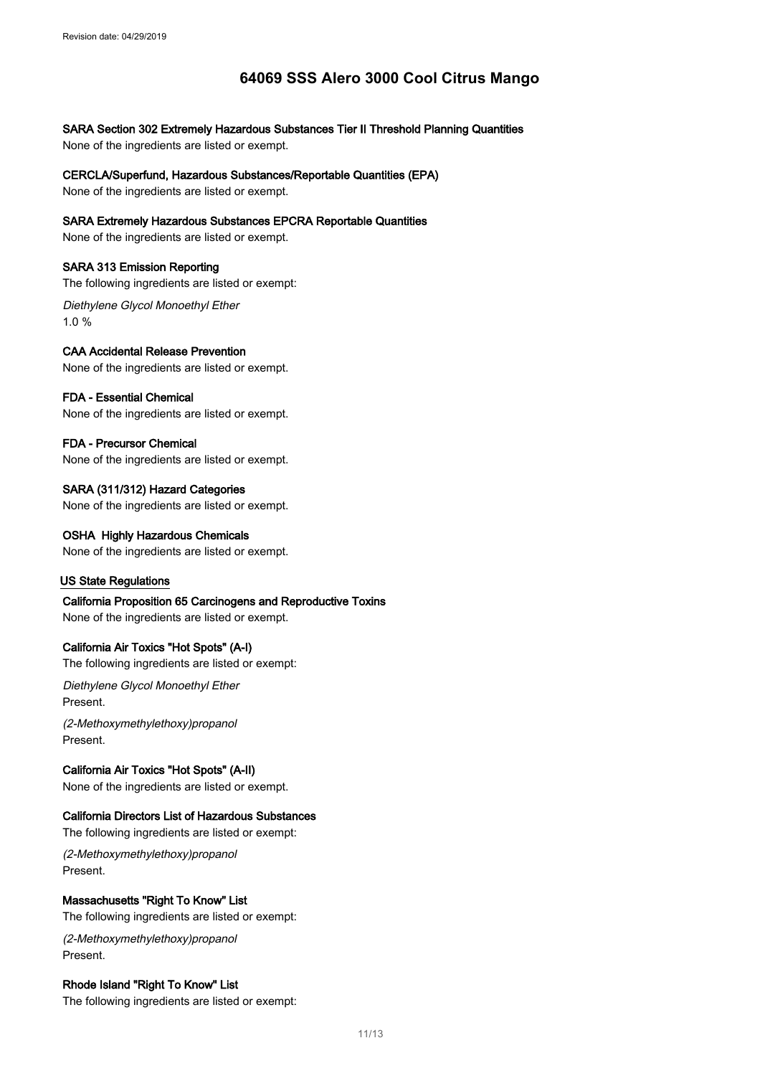SARA Section 302 Extremely Hazardous Substances Tier II Threshold Planning Quantities

None of the ingredients are listed or exempt.

CERCLA/Superfund, Hazardous Substances/Reportable Quantities (EPA)

None of the ingredients are listed or exempt.

### SARA Extremely Hazardous Substances EPCRA Reportable Quantities

None of the ingredients are listed or exempt.

### SARA 313 Emission Reporting

The following ingredients are listed or exempt:

Diethylene Glycol Monoethyl Ether 1.0 %

## CAA Accidental Release Prevention

None of the ingredients are listed or exempt.

### FDA - Essential Chemical

None of the ingredients are listed or exempt.

### FDA - Precursor Chemical

None of the ingredients are listed or exempt.

## SARA (311/312) Hazard Categories

None of the ingredients are listed or exempt.

#### OSHA Highly Hazardous Chemicals

None of the ingredients are listed or exempt.

#### US State Regulations

California Proposition 65 Carcinogens and Reproductive Toxins

None of the ingredients are listed or exempt.

### California Air Toxics "Hot Spots" (A-I)

The following ingredients are listed or exempt:

Diethylene Glycol Monoethyl Ether Present.

(2-Methoxymethylethoxy)propanol Present.

## California Air Toxics "Hot Spots" (A-II)

None of the ingredients are listed or exempt.

### California Directors List of Hazardous Substances

The following ingredients are listed or exempt:

(2-Methoxymethylethoxy)propanol Present.

### Massachusetts "Right To Know" List

The following ingredients are listed or exempt:

(2-Methoxymethylethoxy)propanol Present.

## Rhode Island "Right To Know" List

The following ingredients are listed or exempt: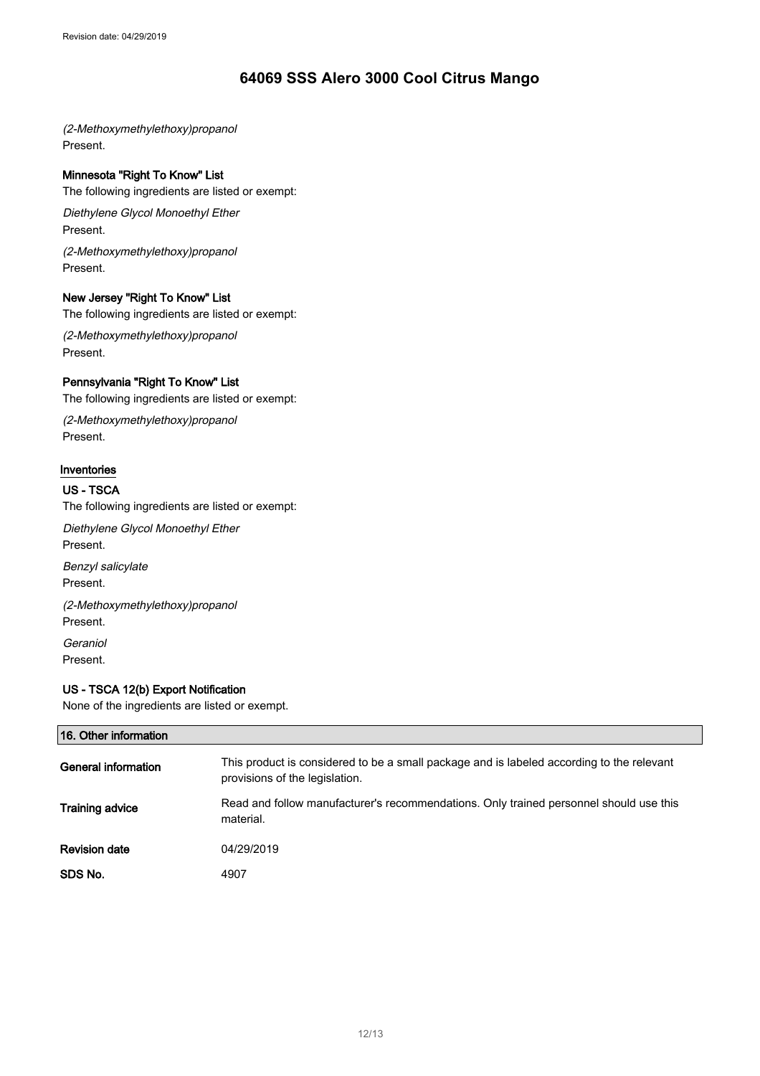(2-Methoxymethylethoxy)propanol Present.

## Minnesota "Right To Know" List

The following ingredients are listed or exempt:

Diethylene Glycol Monoethyl Ether Present.

(2-Methoxymethylethoxy)propanol Present.

#### New Jersey "Right To Know" List

The following ingredients are listed or exempt:

(2-Methoxymethylethoxy)propanol Present.

### Pennsylvania "Right To Know" List

The following ingredients are listed or exempt:

(2-Methoxymethylethoxy)propanol Present.

## Inventories

#### US - TSCA

The following ingredients are listed or exempt:

Diethylene Glycol Monoethyl Ether Present.

Benzyl salicylate Present.

(2-Methoxymethylethoxy)propanol Present. **Geraniol** 

Present.

## US - TSCA 12(b) Export Notification

None of the ingredients are listed or exempt.

| 16. Other information  |                                                                                                                             |
|------------------------|-----------------------------------------------------------------------------------------------------------------------------|
| General information    | This product is considered to be a small package and is labeled according to the relevant<br>provisions of the legislation. |
| <b>Training advice</b> | Read and follow manufacturer's recommendations. Only trained personnel should use this<br>material.                         |
| <b>Revision date</b>   | 04/29/2019                                                                                                                  |
| SDS No.                | 4907                                                                                                                        |